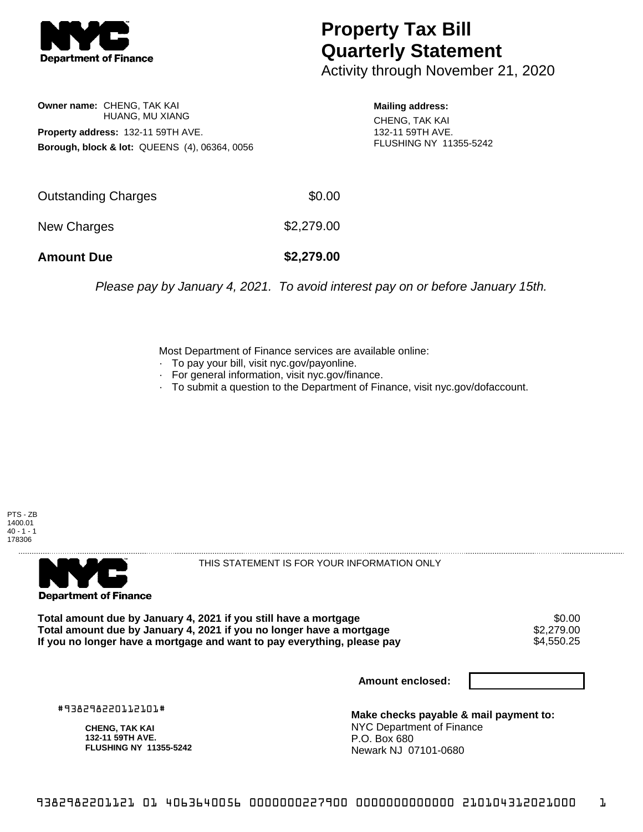

## **Property Tax Bill Quarterly Statement**

Activity through November 21, 2020

**Owner name:** CHENG, TAK KAI HUANG, MU XIANG **Property address:** 132-11 59TH AVE. **Borough, block & lot:** QUEENS (4), 06364, 0056 **Mailing address:**

CHENG, TAK KAI 132-11 59TH AVE. FLUSHING NY 11355-5242

| <b>Amount Due</b>   | \$2,279.00 |
|---------------------|------------|
| New Charges         | \$2,279.00 |
| Outstanding Charges | \$0.00     |

Please pay by January 4, 2021. To avoid interest pay on or before January 15th.

Most Department of Finance services are available online:

- · To pay your bill, visit nyc.gov/payonline.
- For general information, visit nyc.gov/finance.
- · To submit a question to the Department of Finance, visit nyc.gov/dofaccount.

PTS - ZB 1400.01  $40 - 1 - 1$ 178306



THIS STATEMENT IS FOR YOUR INFORMATION ONLY

Total amount due by January 4, 2021 if you still have a mortgage \$0.00<br>Total amount due by January 4, 2021 if you no longer have a mortgage \$2.279.00 **Total amount due by January 4, 2021 if you no longer have a mortgage**  $$2,279.00$ **<br>If you no longer have a mortgage and want to pay everything, please pay**  $$4.550.25$ If you no longer have a mortgage and want to pay everything, please pay

**Amount enclosed:**

#938298220112101#

**CHENG, TAK KAI 132-11 59TH AVE. FLUSHING NY 11355-5242**

**Make checks payable & mail payment to:** NYC Department of Finance P.O. Box 680 Newark NJ 07101-0680